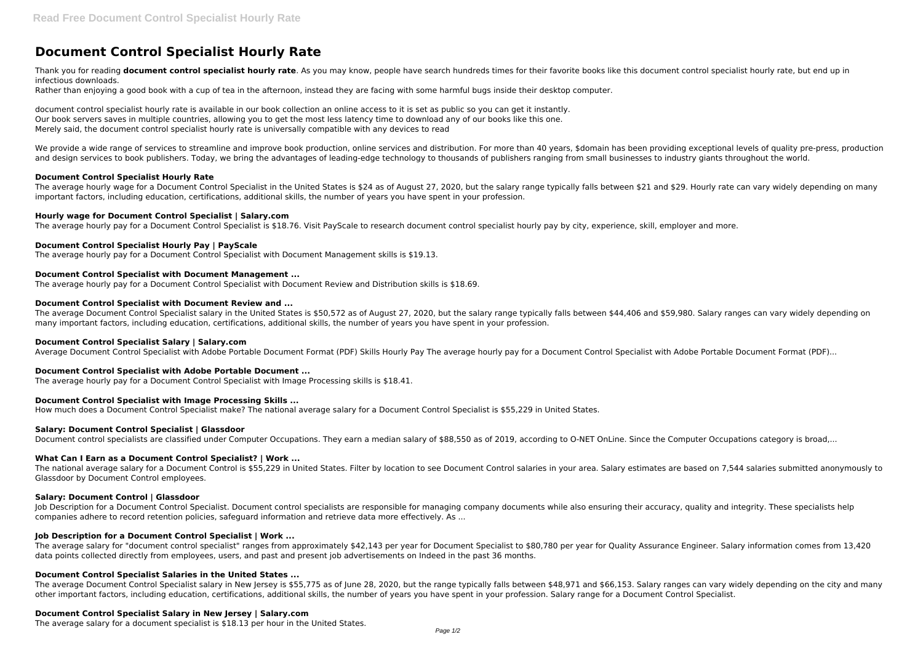# **Document Control Specialist Hourly Rate**

Thank you for reading **document control specialist hourly rate**. As you may know, people have search hundreds times for their favorite books like this document control specialist hourly rate, but end up in infectious downloads.

Rather than enjoying a good book with a cup of tea in the afternoon, instead they are facing with some harmful bugs inside their desktop computer.

We provide a wide range of services to streamline and improve book production, online services and distribution. For more than 40 years, \$domain has been providing exceptional levels of quality pre-press, production and design services to book publishers. Today, we bring the advantages of leading-edge technology to thousands of publishers ranging from small businesses to industry giants throughout the world.

document control specialist hourly rate is available in our book collection an online access to it is set as public so you can get it instantly. Our book servers saves in multiple countries, allowing you to get the most less latency time to download any of our books like this one. Merely said, the document control specialist hourly rate is universally compatible with any devices to read

The average hourly wage for a Document Control Specialist in the United States is \$24 as of August 27, 2020, but the salary range typically falls between \$21 and \$29. Hourly rate can vary widely depending on many important factors, including education, certifications, additional skills, the number of years you have spent in your profession.

## **Document Control Specialist Hourly Rate**

#### **Hourly wage for Document Control Specialist | Salary.com**

The average hourly pay for a Document Control Specialist is \$18.76. Visit PayScale to research document control specialist hourly pay by city, experience, skill, employer and more.

## **Document Control Specialist Hourly Pay | PayScale**

The average hourly pay for a Document Control Specialist with Document Management skills is \$19.13.

## **Document Control Specialist with Document Management ...**

Iob Description for a Document Control Specialist. Document control specialists are responsible for managing company documents while also ensuring their accuracy, quality and integrity. These specialists help companies adhere to record retention policies, safeguard information and retrieve data more effectively. As ...

The average hourly pay for a Document Control Specialist with Document Review and Distribution skills is \$18.69.

## **Document Control Specialist with Document Review and ...**

The average Document Control Specialist salary in the United States is \$50,572 as of August 27, 2020, but the salary range typically falls between \$44,406 and \$59,980. Salary ranges can vary widely depending on many important factors, including education, certifications, additional skills, the number of years you have spent in your profession.

# **Document Control Specialist Salary | Salary.com**

Average Document Control Specialist with Adobe Portable Document Format (PDF) Skills Hourly Pay The average hourly pay for a Document Control Specialist with Adobe Portable Document Format (PDF)...

# **Document Control Specialist with Adobe Portable Document ...**

The average hourly pay for a Document Control Specialist with Image Processing skills is \$18.41.

# **Document Control Specialist with Image Processing Skills ...**

How much does a Document Control Specialist make? The national average salary for a Document Control Specialist is \$55,229 in United States.

#### **Salary: Document Control Specialist | Glassdoor**

Document control specialists are classified under Computer Occupations. They earn a median salary of \$88,550 as of 2019, according to O-NET OnLine. Since the Computer Occupations category is broad,...

# **What Can I Earn as a Document Control Specialist? | Work ...**

The national average salary for a Document Control is \$55,229 in United States. Filter by location to see Document Control salaries in your area. Salary estimates are based on 7,544 salaries submitted anonymously to Glassdoor by Document Control employees.

#### **Salary: Document Control | Glassdoor**

# **Job Description for a Document Control Specialist | Work ...**

The average salary for "document control specialist" ranges from approximately \$42,143 per year for Document Specialist to \$80,780 per year for Quality Assurance Engineer. Salary information comes from 13,420 data points collected directly from employees, users, and past and present job advertisements on Indeed in the past 36 months.

# **Document Control Specialist Salaries in the United States ...**

The average Document Control Specialist salary in New Jersey is \$55,775 as of June 28, 2020, but the range typically falls between \$48,971 and \$66,153. Salary ranges can vary widely depending on the city and many other important factors, including education, certifications, additional skills, the number of years you have spent in your profession. Salary range for a Document Control Specialist.

#### **Document Control Specialist Salary in New Jersey | Salary.com**

The average salary for a document specialist is \$18.13 per hour in the United States.